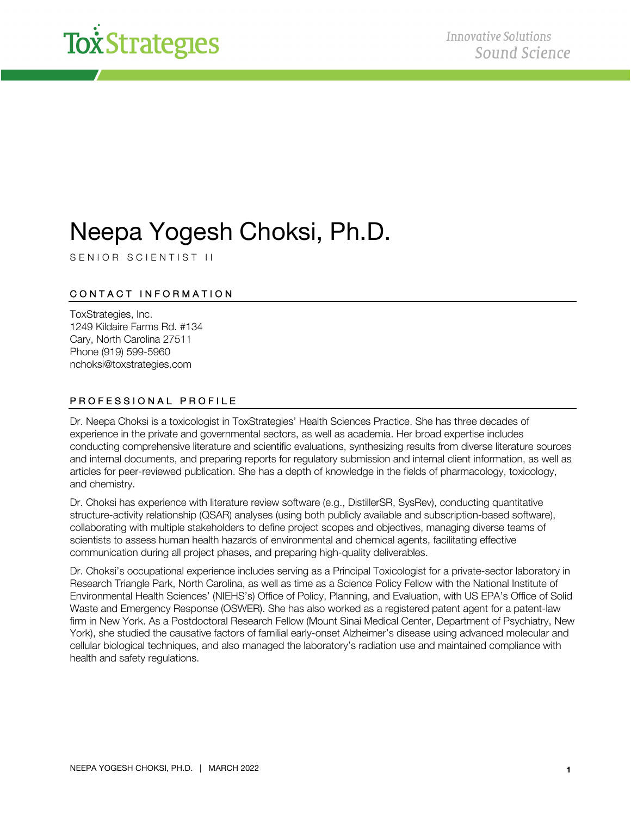

# Neepa Yogesh Choksi, Ph.D.

S ENIOR SCIENTIST II

## CONTACT INFORMATION

ToxStrategies, Inc. 1249 Kildaire Farms Rd. #134 Cary, North Carolina 27511 Phone (919) 599-5960 nchoksi@toxstrategies.com

### PROFESSIONAL PROFILE

Dr. Neepa Choksi is a toxicologist in ToxStrategies' Health Sciences Practice. She has three decades of experience in the private and governmental sectors, as well as academia. Her broad expertise includes conducting comprehensive literature and scientific evaluations, synthesizing results from diverse literature sources and internal documents, and preparing reports for regulatory submission and internal client information, as well as articles for peer-reviewed publication. She has a depth of knowledge in the fields of pharmacology, toxicology, and chemistry.

Dr. Choksi has experience with literature review software (e.g., DistillerSR, SysRev), conducting quantitative structure-activity relationship (QSAR) analyses (using both publicly available and subscription-based software), collaborating with multiple stakeholders to define project scopes and objectives, managing diverse teams of scientists to assess human health hazards of environmental and chemical agents, facilitating effective communication during all project phases, and preparing high-quality deliverables.

Dr. Choksi's occupational experience includes serving as a Principal Toxicologist for a private-sector laboratory in Research Triangle Park, North Carolina, as well as time as a Science Policy Fellow with the National Institute of Environmental Health Sciences' (NIEHS's) Office of Policy, Planning, and Evaluation, with US EPA's Office of Solid Waste and Emergency Response (OSWER). She has also worked as a registered patent agent for a patent-law firm in New York. As a Postdoctoral Research Fellow (Mount Sinai Medical Center, Department of Psychiatry, New York), she studied the causative factors of familial early-onset Alzheimer's disease using advanced molecular and cellular biological techniques, and also managed the laboratory's radiation use and maintained compliance with health and safety regulations.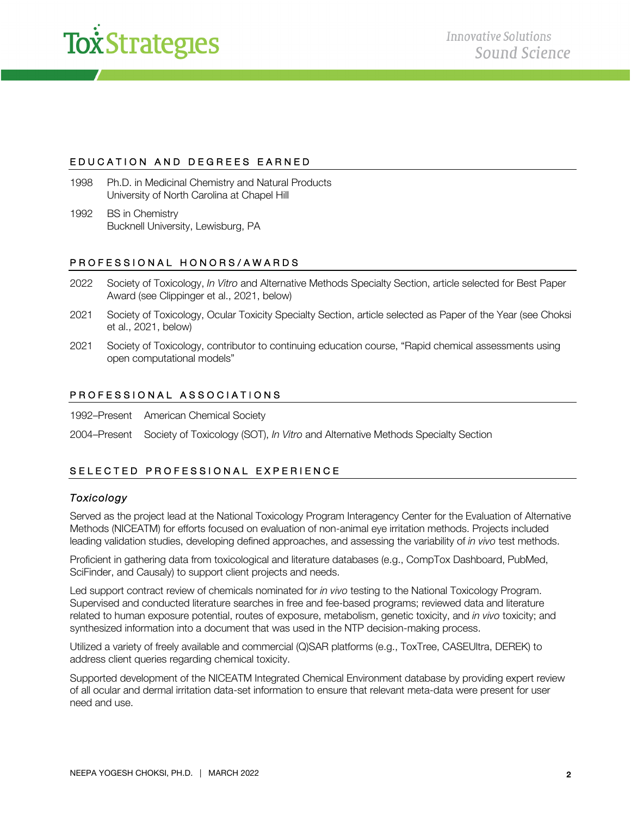

### EDUCATION AND DEGREES EARNED

- 1998 Ph.D. in Medicinal Chemistry and Natural Products University of North Carolina at Chapel Hill
- 1992 BS in Chemistry Bucknell University, Lewisburg, PA

#### PROFESSIONAL HONORS/AWARDS

- 2022 Society of Toxicology, *In Vitro* and Alternative Methods Specialty Section, article selected for Best Paper Award (see Clippinger et al., 2021, below)
- 2021 Society of Toxicology, Ocular Toxicity Specialty Section, article selected as Paper of the Year (see Choksi et al., 2021, below)
- 2021 Society of Toxicology, contributor to continuing education course, "Rapid chemical assessments using open computational models"

#### PROFESSIONAL ASSOCIATIONS

1992–Present American Chemical Society

2004–Present Society of Toxicology (SOT), *In Vitro* and Alternative Methods Specialty Section

## SELECTED PROFESSIONAL EXPERIENCE

#### *Toxicology*

Served as the project lead at the National Toxicology Program Interagency Center for the Evaluation of Alternative Methods (NICEATM) for efforts focused on evaluation of non-animal eye irritation methods. Projects included leading validation studies, developing defined approaches, and assessing the variability of *in vivo* test methods.

Proficient in gathering data from toxicological and literature databases (e.g., CompTox Dashboard, PubMed, SciFinder, and Causaly) to support client projects and needs.

Led support contract review of chemicals nominated for *in vivo* testing to the National Toxicology Program. Supervised and conducted literature searches in free and fee-based programs; reviewed data and literature related to human exposure potential, routes of exposure, metabolism, genetic toxicity, and *in vivo* toxicity; and synthesized information into a document that was used in the NTP decision-making process.

Utilized a variety of freely available and commercial (Q)SAR platforms (e.g., ToxTree, CASEUltra, DEREK) to address client queries regarding chemical toxicity.

Supported development of the NICEATM Integrated Chemical Environment database by providing expert review of all ocular and dermal irritation data-set information to ensure that relevant meta-data were present for user need and use.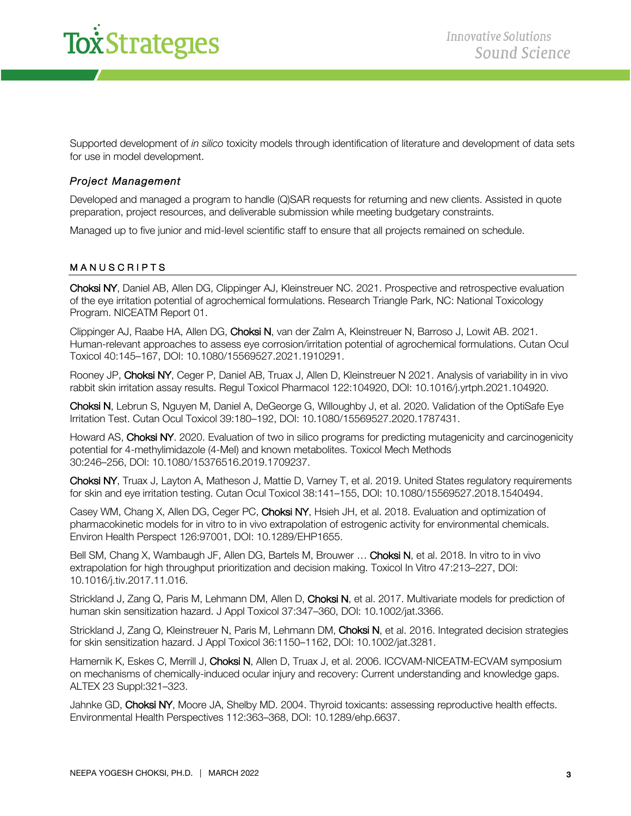

Supported development of *in silico* toxicity models through identification of literature and development of data sets for use in model development.

#### *Project Management*

Developed and managed a program to handle (Q)SAR requests for returning and new clients. Assisted in quote preparation, project resources, and deliverable submission while meeting budgetary constraints.

Managed up to five junior and mid-level scientific staff to ensure that all projects remained on schedule.

## MANUSCRIPTS

Choksi NY, Daniel AB, Allen DG, Clippinger AJ, Kleinstreuer NC. 2021. Prospective and retrospective evaluation of the eye irritation potential of agrochemical formulations. Research Triangle Park, NC: National Toxicology Program. NICEATM Report 01.

Clippinger AJ, Raabe HA, Allen DG, Choksi N, van der Zalm A, Kleinstreuer N, Barroso J, Lowit AB. 2021. Human-relevant approaches to assess eye corrosion/irritation potential of agrochemical formulations. Cutan Ocul Toxicol 40:145–167, DOI: 10.1080/15569527.2021.1910291.

Rooney JP, Choksi NY, Ceger P, Daniel AB, Truax J, Allen D, Kleinstreuer N 2021. Analysis of variability in in vivo rabbit skin irritation assay results. Regul Toxicol Pharmacol 122:104920, DOI: 10.1016/j.yrtph.2021.104920.

Choksi N, Lebrun S, Nguyen M, Daniel A, DeGeorge G, Willoughby J, et al. 2020. Validation of the OptiSafe Eye Irritation Test. Cutan Ocul Toxicol 39:180–192, DOI: 10.1080/15569527.2020.1787431.

Howard AS, Choksi NY. 2020. Evaluation of two in silico programs for predicting mutagenicity and carcinogenicity potential for 4-methylimidazole (4-MeI) and known metabolites. Toxicol Mech Methods 30:246–256, DOI: 10.1080/15376516.2019.1709237.

Choksi NY, Truax J, Layton A, Matheson J, Mattie D, Varney T, et al. 2019. United States regulatory requirements for skin and eye irritation testing. Cutan Ocul Toxicol 38:141–155, DOI: 10.1080/15569527.2018.1540494.

Casey WM, Chang X, Allen DG, Ceger PC, Choksi NY, Hsieh JH, et al. 2018. Evaluation and optimization of pharmacokinetic models for in vitro to in vivo extrapolation of estrogenic activity for environmental chemicals. Environ Health Perspect 126:97001, DOI: 10.1289/EHP1655.

Bell SM, Chang X, Wambaugh JF, Allen DG, Bartels M, Brouwer ... Choksi N, et al. 2018. In vitro to in vivo extrapolation for high throughput prioritization and decision making. Toxicol In Vitro 47:213–227, DOI: 10.1016/j.tiv.2017.11.016.

Strickland J, Zang Q, Paris M, Lehmann DM, Allen D, Choksi N, et al. 2017. Multivariate models for prediction of human skin sensitization hazard. J Appl Toxicol 37:347–360, DOI: 10.1002/jat.3366.

Strickland J, Zang Q, Kleinstreuer N, Paris M, Lehmann DM, Choksi N, et al. 2016. Integrated decision strategies for skin sensitization hazard. J Appl Toxicol 36:1150–1162, DOI: 10.1002/jat.3281.

Hamernik K, Eskes C, Merrill J, Choksi N, Allen D, Truax J, et al. 2006. ICCVAM-NICEATM-ECVAM symposium on mechanisms of chemically-induced ocular injury and recovery: Current understanding and knowledge gaps. ALTEX 23 Suppl:321–323.

Jahnke GD, Choksi NY, Moore JA, Shelby MD. 2004. Thyroid toxicants: assessing reproductive health effects. Environmental Health Perspectives 112:363–368, DOI: 10.1289/ehp.6637.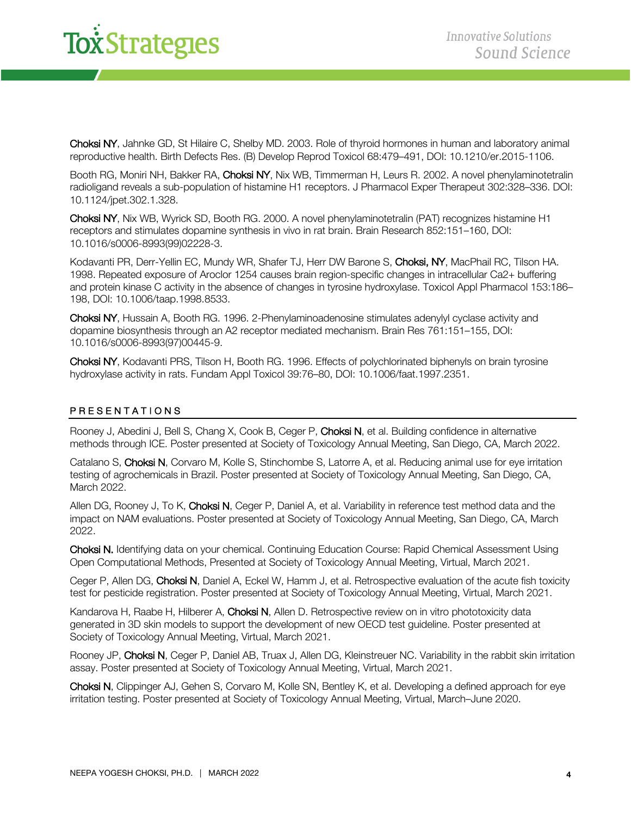# *x Strategies*

Choksi NY, Jahnke GD, St Hilaire C, Shelby MD. 2003. Role of thyroid hormones in human and laboratory animal reproductive health. Birth Defects Res. (B) Develop Reprod Toxicol 68:479–491, DOI: 10.1210/er.2015-1106.

Booth RG, Moniri NH, Bakker RA, Choksi NY, Nix WB, Timmerman H, Leurs R. 2002. A novel phenylaminotetralin radioligand reveals a sub-population of histamine H1 receptors. J Pharmacol Exper Therapeut 302:328–336. DOI: 10.1124/jpet.302.1.328.

Choksi NY, Nix WB, Wyrick SD, Booth RG. 2000. A novel phenylaminotetralin (PAT) recognizes histamine H1 receptors and stimulates dopamine synthesis in vivo in rat brain. Brain Research 852:151–160, DOI: 10.1016/s0006-8993(99)02228-3.

Kodavanti PR, Derr-Yellin EC, Mundy WR, Shafer TJ, Herr DW Barone S, Choksi, NY, MacPhail RC, Tilson HA. 1998. Repeated exposure of Aroclor 1254 causes brain region-specific changes in intracellular Ca2+ buffering and protein kinase C activity in the absence of changes in tyrosine hydroxylase. Toxicol Appl Pharmacol 153:186– 198, DOI: 10.1006/taap.1998.8533.

Choksi NY, Hussain A, Booth RG. 1996. 2-Phenylaminoadenosine stimulates adenylyl cyclase activity and dopamine biosynthesis through an A2 receptor mediated mechanism. Brain Res 761:151–155, DOI: 10.1016/s0006-8993(97)00445-9.

Choksi NY, Kodavanti PRS, Tilson H, Booth RG. 1996. Effects of polychlorinated biphenyls on brain tyrosine hydroxylase activity in rats. Fundam Appl Toxicol 39:76–80, DOI: 10.1006/faat.1997.2351.

## PRES ENTATIONS

Rooney J, Abedini J, Bell S, Chang X, Cook B, Ceger P, Choksi N, et al. Building confidence in alternative methods through ICE. Poster presented at Society of Toxicology Annual Meeting, San Diego, CA, March 2022.

Catalano S, Choksi N, Corvaro M, Kolle S, Stinchombe S, Latorre A, et al. Reducing animal use for eye irritation testing of agrochemicals in Brazil. Poster presented at Society of Toxicology Annual Meeting, San Diego, CA, March 2022.

Allen DG, Rooney J, To K, Choksi N, Ceger P, Daniel A, et al. Variability in reference test method data and the impact on NAM evaluations. Poster presented at Society of Toxicology Annual Meeting, San Diego, CA, March 2022.

Choksi N. Identifying data on your chemical. Continuing Education Course: Rapid Chemical Assessment Using Open Computational Methods, Presented at Society of Toxicology Annual Meeting, Virtual, March 2021.

Ceger P, Allen DG, Choksi N, Daniel A, Eckel W, Hamm J, et al. Retrospective evaluation of the acute fish toxicity test for pesticide registration. Poster presented at Society of Toxicology Annual Meeting, Virtual, March 2021.

Kandarova H, Raabe H, Hilberer A, Choksi N, Allen D. Retrospective review on in vitro phototoxicity data generated in 3D skin models to support the development of new OECD test guideline. Poster presented at Society of Toxicology Annual Meeting, Virtual, March 2021.

Rooney JP, Choksi N, Ceger P, Daniel AB, Truax J, Allen DG, Kleinstreuer NC. Variability in the rabbit skin irritation assay. Poster presented at Society of Toxicology Annual Meeting, Virtual, March 2021.

Choksi N, Clippinger AJ, Gehen S, Corvaro M, Kolle SN, Bentley K, et al. Developing a defined approach for eye irritation testing. Poster presented at Society of Toxicology Annual Meeting, Virtual, March–June 2020.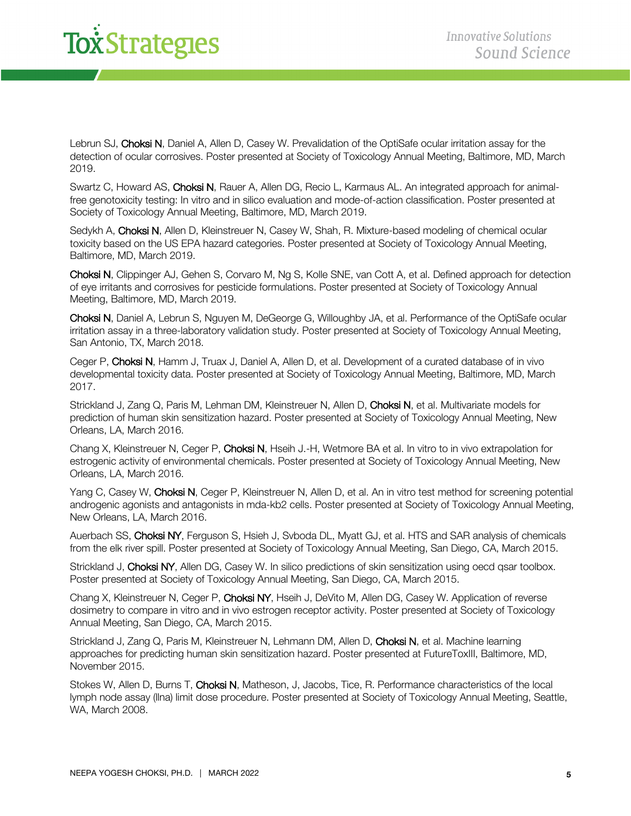# *i*<br>*<i><u>i*Strategies</u>

Lebrun SJ, Choksi N, Daniel A, Allen D, Casey W. Prevalidation of the OptiSafe ocular irritation assay for the detection of ocular corrosives. Poster presented at Society of Toxicology Annual Meeting, Baltimore, MD, March 2019.

Swartz C, Howard AS, Choksi N, Rauer A, Allen DG, Recio L, Karmaus AL. An integrated approach for animalfree genotoxicity testing: In vitro and in silico evaluation and mode-of-action classification. Poster presented at Society of Toxicology Annual Meeting, Baltimore, MD, March 2019.

Sedykh A, Choksi N, Allen D, Kleinstreuer N, Casey W, Shah, R. Mixture-based modeling of chemical ocular toxicity based on the US EPA hazard categories. Poster presented at Society of Toxicology Annual Meeting, Baltimore, MD, March 2019.

Choksi N, Clippinger AJ, Gehen S, Corvaro M, Ng S, Kolle SNE, van Cott A, et al. Defined approach for detection of eye irritants and corrosives for pesticide formulations. Poster presented at Society of Toxicology Annual Meeting, Baltimore, MD, March 2019.

Choksi N, Daniel A, Lebrun S, Nguyen M, DeGeorge G, Willoughby JA, et al. Performance of the OptiSafe ocular irritation assay in a three-laboratory validation study. Poster presented at Society of Toxicology Annual Meeting, San Antonio, TX, March 2018.

Ceger P, Choksi N, Hamm J, Truax J, Daniel A, Allen D, et al. Development of a curated database of in vivo developmental toxicity data. Poster presented at Society of Toxicology Annual Meeting, Baltimore, MD, March 2017.

Strickland J, Zang Q, Paris M, Lehman DM, Kleinstreuer N, Allen D, Choksi N, et al. Multivariate models for prediction of human skin sensitization hazard. Poster presented at Society of Toxicology Annual Meeting, New Orleans, LA, March 2016.

Chang X, Kleinstreuer N, Ceger P, Choksi N, Hseih J.-H, Wetmore BA et al. In vitro to in vivo extrapolation for estrogenic activity of environmental chemicals. Poster presented at Society of Toxicology Annual Meeting, New Orleans, LA, March 2016.

Yang C, Casey W, Choksi N, Ceger P, Kleinstreuer N, Allen D, et al. An in vitro test method for screening potential androgenic agonists and antagonists in mda-kb2 cells. Poster presented at Society of Toxicology Annual Meeting, New Orleans, LA, March 2016.

Auerbach SS, Choksi NY, Ferguson S, Hsieh J, Syboda DL, Myatt GJ, et al. HTS and SAR analysis of chemicals from the elk river spill. Poster presented at Society of Toxicology Annual Meeting, San Diego, CA, March 2015.

Strickland J, Choksi NY, Allen DG, Casey W. In silico predictions of skin sensitization using oecd qsar toolbox. Poster presented at Society of Toxicology Annual Meeting, San Diego, CA, March 2015.

Chang X, Kleinstreuer N, Ceger P, Choksi NY, Hseih J, DeVito M, Allen DG, Casey W. Application of reverse dosimetry to compare in vitro and in vivo estrogen receptor activity. Poster presented at Society of Toxicology Annual Meeting, San Diego, CA, March 2015.

Strickland J, Zang Q, Paris M, Kleinstreuer N, Lehmann DM, Allen D, Choksi N, et al. Machine learning approaches for predicting human skin sensitization hazard. Poster presented at FutureToxIII, Baltimore, MD, November 2015.

Stokes W, Allen D, Burns T, Choksi N, Matheson, J, Jacobs, Tice, R. Performance characteristics of the local lymph node assay (llna) limit dose procedure. Poster presented at Society of Toxicology Annual Meeting, Seattle, WA, March 2008.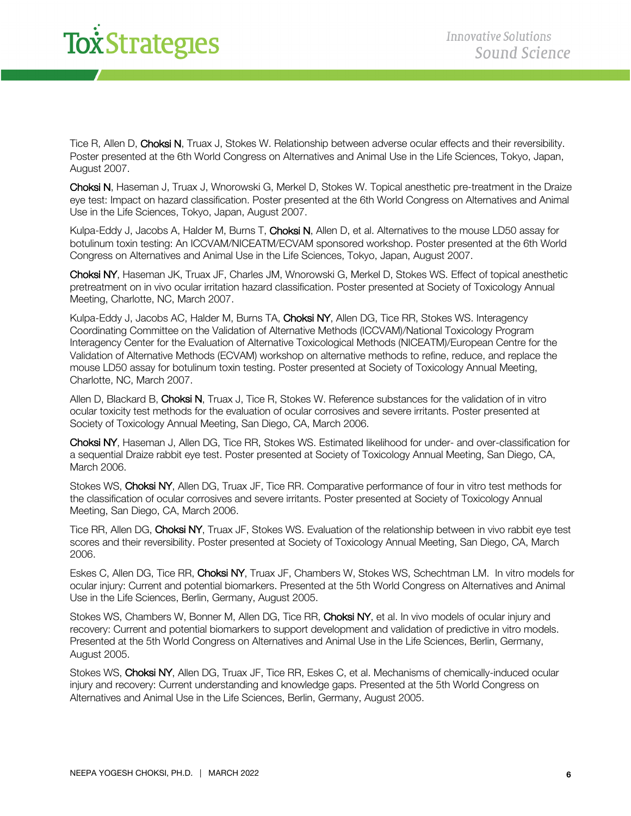# **Tox Strategies**

Tice R, Allen D, Choksi N, Truax J, Stokes W. Relationship between adverse ocular effects and their reversibility. Poster presented at the 6th World Congress on Alternatives and Animal Use in the Life Sciences, Tokyo, Japan, August 2007.

Choksi N, Haseman J, Truax J, Wnorowski G, Merkel D, Stokes W. Topical anesthetic pre-treatment in the Draize eye test: Impact on hazard classification. Poster presented at the 6th World Congress on Alternatives and Animal Use in the Life Sciences, Tokyo, Japan, August 2007.

Kulpa-Eddy J, Jacobs A, Halder M, Burns T, Choksi N, Allen D, et al. Alternatives to the mouse LD50 assay for botulinum toxin testing: An ICCVAM/NICEATM/ECVAM sponsored workshop. Poster presented at the 6th World Congress on Alternatives and Animal Use in the Life Sciences, Tokyo, Japan, August 2007.

Choksi NY, Haseman JK, Truax JF, Charles JM, Wnorowski G, Merkel D, Stokes WS. Effect of topical anesthetic pretreatment on in vivo ocular irritation hazard classification. Poster presented at Society of Toxicology Annual Meeting, Charlotte, NC, March 2007.

Kulpa-Eddy J, Jacobs AC, Halder M, Burns TA, Choksi NY, Allen DG, Tice RR, Stokes WS. Interagency Coordinating Committee on the Validation of Alternative Methods (ICCVAM)/National Toxicology Program Interagency Center for the Evaluation of Alternative Toxicological Methods (NICEATM)/European Centre for the Validation of Alternative Methods (ECVAM) workshop on alternative methods to refine, reduce, and replace the mouse LD50 assay for botulinum toxin testing. Poster presented at Society of Toxicology Annual Meeting, Charlotte, NC, March 2007.

Allen D, Blackard B, Choksi N, Truax J, Tice R, Stokes W. Reference substances for the validation of in vitro ocular toxicity test methods for the evaluation of ocular corrosives and severe irritants. Poster presented at Society of Toxicology Annual Meeting, San Diego, CA, March 2006.

Choksi NY, Haseman J, Allen DG, Tice RR, Stokes WS. Estimated likelihood for under- and over-classification for a sequential Draize rabbit eye test. Poster presented at Society of Toxicology Annual Meeting, San Diego, CA, March 2006.

Stokes WS, Choksi NY, Allen DG, Truax JF, Tice RR. Comparative performance of four in vitro test methods for the classification of ocular corrosives and severe irritants. Poster presented at Society of Toxicology Annual Meeting, San Diego, CA, March 2006.

Tice RR, Allen DG, Choksi NY, Truax JF, Stokes WS. Evaluation of the relationship between in vivo rabbit eye test scores and their reversibility. Poster presented at Society of Toxicology Annual Meeting, San Diego, CA, March 2006.

Eskes C, Allen DG, Tice RR, Choksi NY, Truax JF, Chambers W, Stokes WS, Schechtman LM. In vitro models for ocular injury: Current and potential biomarkers. Presented at the 5th World Congress on Alternatives and Animal Use in the Life Sciences, Berlin, Germany, August 2005.

Stokes WS, Chambers W, Bonner M, Allen DG, Tice RR, Choksi NY, et al. In vivo models of ocular injury and recovery: Current and potential biomarkers to support development and validation of predictive in vitro models. Presented at the 5th World Congress on Alternatives and Animal Use in the Life Sciences, Berlin, Germany, August 2005.

Stokes WS, Choksi NY, Allen DG, Truax JF, Tice RR, Eskes C, et al. Mechanisms of chemically-induced ocular injury and recovery: Current understanding and knowledge gaps. Presented at the 5th World Congress on Alternatives and Animal Use in the Life Sciences, Berlin, Germany, August 2005.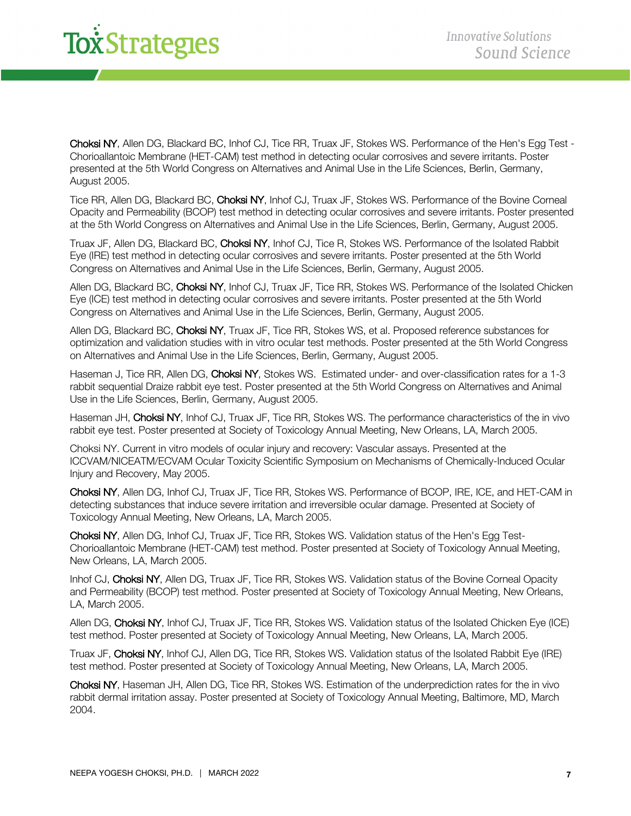# **To***x*<sup>Strategies</sup>

Choksi NY, Allen DG, Blackard BC, Inhof CJ, Tice RR, Truax JF, Stokes WS. Performance of the Hen's Egg Test - Chorioallantoic Membrane (HET-CAM) test method in detecting ocular corrosives and severe irritants. Poster presented at the 5th World Congress on Alternatives and Animal Use in the Life Sciences, Berlin, Germany, August 2005.

Tice RR, Allen DG, Blackard BC, Choksi NY, Inhof CJ, Truax JF, Stokes WS. Performance of the Bovine Corneal Opacity and Permeability (BCOP) test method in detecting ocular corrosives and severe irritants. Poster presented at the 5th World Congress on Alternatives and Animal Use in the Life Sciences, Berlin, Germany, August 2005.

Truax JF, Allen DG, Blackard BC, Choksi NY, Inhof CJ, Tice R, Stokes WS. Performance of the Isolated Rabbit Eye (IRE) test method in detecting ocular corrosives and severe irritants. Poster presented at the 5th World Congress on Alternatives and Animal Use in the Life Sciences, Berlin, Germany, August 2005.

Allen DG, Blackard BC, Choksi NY, Inhof CJ, Truax JF, Tice RR, Stokes WS. Performance of the Isolated Chicken Eye (ICE) test method in detecting ocular corrosives and severe irritants. Poster presented at the 5th World Congress on Alternatives and Animal Use in the Life Sciences, Berlin, Germany, August 2005.

Allen DG, Blackard BC, Choksi NY, Truax JF, Tice RR, Stokes WS, et al. Proposed reference substances for optimization and validation studies with in vitro ocular test methods. Poster presented at the 5th World Congress on Alternatives and Animal Use in the Life Sciences, Berlin, Germany, August 2005.

Haseman J, Tice RR, Allen DG, Choksi NY, Stokes WS. Estimated under- and over-classification rates for a 1-3 rabbit sequential Draize rabbit eye test. Poster presented at the 5th World Congress on Alternatives and Animal Use in the Life Sciences, Berlin, Germany, August 2005.

Haseman JH, Choksi NY, Inhof CJ, Truax JF, Tice RR, Stokes WS. The performance characteristics of the in vivo rabbit eye test. Poster presented at Society of Toxicology Annual Meeting, New Orleans, LA, March 2005.

Choksi NY. Current in vitro models of ocular injury and recovery: Vascular assays. Presented at the ICCVAM/NICEATM/ECVAM Ocular Toxicity Scientific Symposium on Mechanisms of Chemically-Induced Ocular Injury and Recovery, May 2005.

Choksi NY, Allen DG, Inhof CJ, Truax JF, Tice RR, Stokes WS. Performance of BCOP, IRE, ICE, and HET-CAM in detecting substances that induce severe irritation and irreversible ocular damage. Presented at Society of Toxicology Annual Meeting, New Orleans, LA, March 2005.

Choksi NY, Allen DG, Inhof CJ, Truax JF, Tice RR, Stokes WS. Validation status of the Hen's Egg Test-Chorioallantoic Membrane (HET-CAM) test method. Poster presented at Society of Toxicology Annual Meeting, New Orleans, LA, March 2005.

Inhof CJ, Choksi NY, Allen DG, Truax JF, Tice RR, Stokes WS. Validation status of the Bovine Corneal Opacity and Permeability (BCOP) test method. Poster presented at Society of Toxicology Annual Meeting, New Orleans, LA, March 2005.

Allen DG, Choksi NY, Inhof CJ, Truax JF, Tice RR, Stokes WS. Validation status of the Isolated Chicken Eye (ICE) test method. Poster presented at Society of Toxicology Annual Meeting, New Orleans, LA, March 2005.

Truax JF, Choksi NY, Inhof CJ, Allen DG, Tice RR, Stokes WS. Validation status of the Isolated Rabbit Eye (IRE) test method. Poster presented at Society of Toxicology Annual Meeting, New Orleans, LA, March 2005.

Choksi NY, Haseman JH, Allen DG, Tice RR, Stokes WS. Estimation of the underprediction rates for the in vivo rabbit dermal irritation assay. Poster presented at Society of Toxicology Annual Meeting, Baltimore, MD, March 2004.